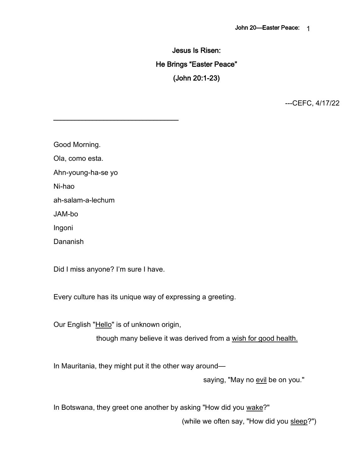Jesus Is Risen: He Brings "Easter Peace" (John 20:1-23)

---CEFC, 4/17/22

Good Morning. Ola, como esta. Ahn-young-ha-se yo Ni-hao ah-salam-a-lechum JAM-bo Ingoni

Dananish

Did I miss anyone? I'm sure I have.

 $\overline{\phantom{a}}$  , and the contract of the contract of the contract of the contract of the contract of the contract of the contract of the contract of the contract of the contract of the contract of the contract of the contrac

Every culture has its unique way of expressing a greeting.

Our English "Hello" is of unknown origin,

though many believe it was derived from a wish for good health.

In Mauritania, they might put it the other way around—

saying, "May no evil be on you."

In Botswana, they greet one another by asking "How did you wake?"

(while we often say, "How did you sleep?")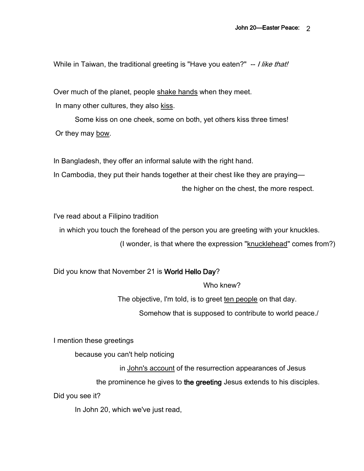While in Taiwan, the traditional greeting is "Have you eaten?" -- I like that!

Over much of the planet, people shake hands when they meet.

In many other cultures, they also kiss.

Some kiss on one cheek, some on both, yet others kiss three times! Or they may bow.

In Bangladesh, they offer an informal salute with the right hand.

In Cambodia, they put their hands together at their chest like they are praying—

the higher on the chest, the more respect.

I've read about a Filipino tradition

in which you touch the forehead of the person you are greeting with your knuckles.

(I wonder, is that where the expression "knucklehead" comes from?)

Did you know that November 21 is World Hello Day?

Who knew?

The objective, I'm told, is to greet ten people on that day.

Somehow that is supposed to contribute to world peace./

I mention these greetings

because you can't help noticing

in John's account of the resurrection appearances of Jesus

the prominence he gives to the greeting Jesus extends to his disciples.

Did you see it?

In John 20, which we've just read,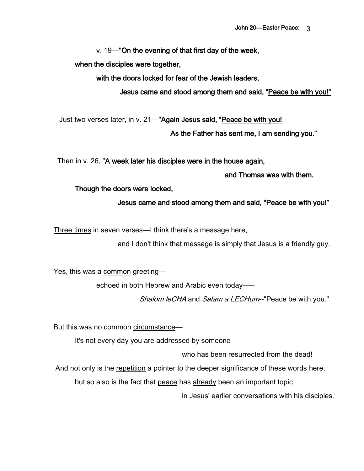v. 19—"On the evening of that first day of the week,

when the disciples were together,

with the doors locked for fear of the Jewish leaders,

Jesus came and stood among them and said, "Peace be with you!"

Just two verses later, in v. 21—"Again Jesus said, "Peace be with you!

As the Father has sent me, I am sending you."

Then in v. 26, "A week later his disciples were in the house again,

and Thomas was with them.

### Though the doors were locked,

Jesus came and stood among them and said, "Peace be with you!"

Three times in seven verses—I think there's a message here,

and I don't think that message is simply that Jesus is a friendly guy.

Yes, this was a **common** greeting—

echoed in both Hebrew and Arabic even today—--

Shalom leCHA and Salam a LECHum-"Peace be with you."

But this was no common circumstance-

It's not every day you are addressed by someone

who has been resurrected from the dead!

And not only is the repetition a pointer to the deeper significance of these words here,

but so also is the fact that peace has already been an important topic

in Jesus' earlier conversations with his disciples.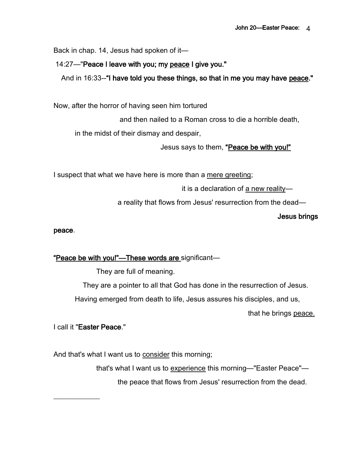Back in chap. 14, Jesus had spoken of it—

## 14:27—"Peace I leave with you; my peace I give you."

## And in 16:33--"I have told you these things, so that in me you may have peace."

Now, after the horror of having seen him tortured

and then nailed to a Roman cross to die a horrible death,

in the midst of their dismay and despair,

Jesus says to them, "Peace be with you!"

I suspect that what we have here is more than a mere greeting;

it is a declaration of a new reality—

a reality that flows from Jesus' resurrection from the dead—

## Jesus brings

#### peace.

## "Peace be with you!"—These words are significant—

They are full of meaning.

They are a pointer to all that God has done in the resurrection of Jesus.

Having emerged from death to life, Jesus assures his disciples, and us,

that he brings peace.

I call it "Easter Peace."

 $\frac{1}{2}$ 

And that's what I want us to consider this morning;

that's what I want us to experience this morning—"Easter Peace" the peace that flows from Jesus' resurrection from the dead.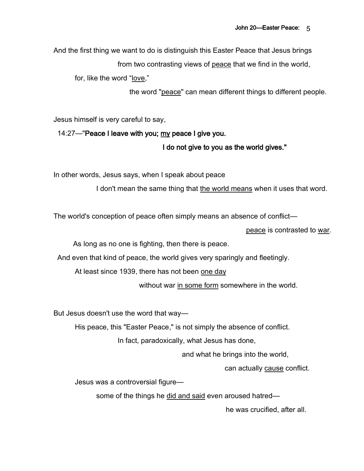And the first thing we want to do is distinguish this Easter Peace that Jesus brings

from two contrasting views of peace that we find in the world,

for, like the word "love,"

the word "peace" can mean different things to different people.

Jesus himself is very careful to say,

## 14:27—"Peace I leave with you; my peace I give you. I do not give to you as the world gives."

In other words, Jesus says, when I speak about peace

I don't mean the same thing that the world means when it uses that word.

The world's conception of peace often simply means an absence of conflict—

peace is contrasted to war.

As long as no one is fighting, then there is peace.

And even that kind of peace, the world gives very sparingly and fleetingly.

At least since 1939, there has not been one day

without war in some form somewhere in the world.

But Jesus doesn't use the word that way—

His peace, this "Easter Peace," is not simply the absence of conflict.

In fact, paradoxically, what Jesus has done,

and what he brings into the world,

can actually cause conflict.

Jesus was a controversial figure—

some of the things he did and said even aroused hatred—

he was crucified, after all.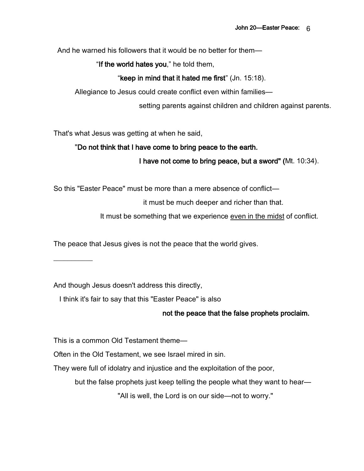And he warned his followers that it would be no better for them—

"If the world hates you," he told them,

## "keep in mind that it hated me first" (Jn. 15:18).

Allegiance to Jesus could create conflict even within families—

setting parents against children and children against parents.

That's what Jesus was getting at when he said,

## "Do not think that I have come to bring [peace](javascript:utilExec(%22jump%7Cres=LLS:1.0.338%7Cart=LLS-AOL:180.0.0%7Chit=::OLA:3665.5.0%22);) to the earth.

## I have not come to bring [peace,](javascript:utilExec(%22jump%7Cres=LLS:1.0.338%7Cart=LLS-AOL:180.0.0%7Chit=::OLA:3710.5.0%22);) but a sword" (Mt. 10:34).

So this "Easter Peace" must be more than a mere absence of conflict—

it must be much deeper and richer than that.

It must be something that we experience even in the midst of conflict.

The peace that Jesus gives is not the peace that the world gives.

And though Jesus doesn't address this directly,

 $\frac{1}{2}$ 

I think it's fair to say that this "Easter Peace" is also

## not the peace that the false prophets proclaim.

This is a common Old Testament theme—

Often in the Old Testament, we see Israel mired in sin.

They were full of idolatry and injustice and the exploitation of the poor,

but the false prophets just keep telling the people what they want to hear— "All is well, the Lord is on our side—not to worry."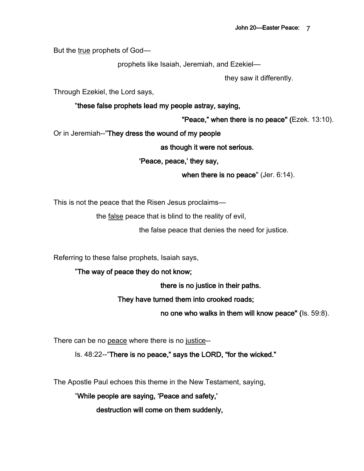But the true prophets of God—

prophets like Isaiah, Jeremiah, and Ezekiel—

they saw it differently.

Through Ezekiel, the Lord says,

"these false prophets lead my people astray, saying,

"Peace," when there is no peace" (Ezek. 13:10).

Or in Jeremiah--"They dress the wound of my people

as though it were not serious.

'Peace, peace,' they say,

when there is no peace" (Jer. 6:14).

This is not the peace that the Risen Jesus proclaims—

the false peace that is blind to the reality of evil,

the false peace that denies the need for justice.

Referring to these false prophets, Isaiah says,

"The way of peace they do not know;

there is no justice in their paths.

They have turned them into crooked roads;

no one who walks in them will know peace" (Is. 59:8).

There can be no peace where there is no justice--

Is. 48:22--"There is no peace," says the LORD, "for the wicked."

The Apostle Paul echoes this theme in the New Testament, saying,

"While people are saying, 'Peace and safety,'

destruction will come on them suddenly,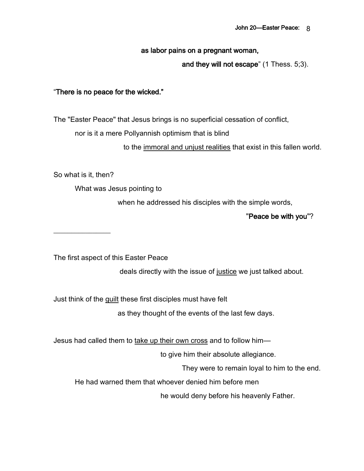#### as labor pains on a pregnant woman,

#### and they will not escape" (1 Thess. 5;3).

#### "There is no peace for the wicked."

The "Easter Peace" that Jesus brings is no superficial cessation of conflict,

nor is it a mere Pollyannish optimism that is blind

to the immoral and unjust realities that exist in this fallen world.

So what is it, then?

 $\overline{\phantom{a}}$  , where  $\overline{\phantom{a}}$ 

What was Jesus pointing to

when he addressed his disciples with the simple words,

"Peace be with you"?

The first aspect of this Easter Peace

deals directly with the issue of justice we just talked about.

Just think of the guilt these first disciples must have felt

as they thought of the events of the last few days.

Jesus had called them to take up their own cross and to follow him—

to give him their absolute allegiance.

They were to remain loyal to him to the end.

He had warned them that whoever denied him before men

he would deny before his heavenly Father.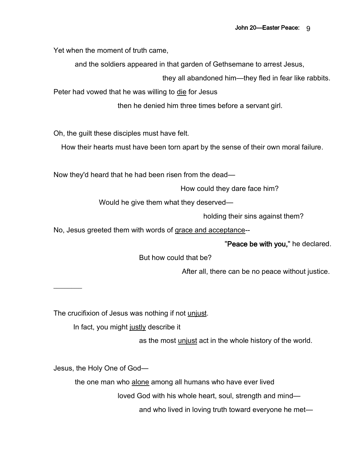Yet when the moment of truth came,

and the soldiers appeared in that garden of Gethsemane to arrest Jesus,

they all abandoned him—they fled in fear like rabbits.

Peter had vowed that he was willing to die for Jesus

then he denied him three times before a servant girl.

Oh, the guilt these disciples must have felt.

How their hearts must have been torn apart by the sense of their own moral failure.

Now they'd heard that he had been risen from the dead—

How could they dare face him?

Would he give them what they deserved—

holding their sins against them?

No, Jesus greeted them with words of grace and acceptance--

"Peace be with you," he declared.

But how could that be?

After all, there can be no peace without justice.

The crucifixion of Jesus was nothing if not unjust.

In fact, you might justly describe it

as the most unjust act in the whole history of the world.

Jesus, the Holy One of God—

 $\overline{\phantom{a}}$ 

the one man who alone among all humans who have ever lived

loved God with his whole heart, soul, strength and mind—

and who lived in loving truth toward everyone he met—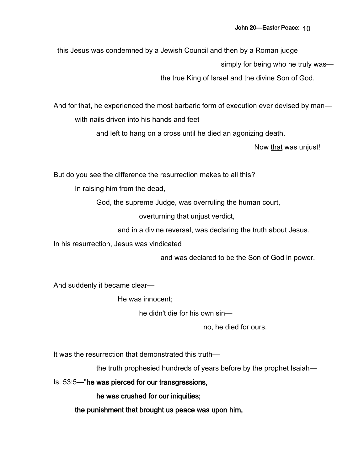this Jesus was condemned by a Jewish Council and then by a Roman judge

simply for being who he truly was—

the true King of Israel and the divine Son of God.

And for that, he experienced the most barbaric form of execution ever devised by man—

with nails driven into his hands and feet

and left to hang on a cross until he died an agonizing death.

Now that was unjust!

But do you see the difference the resurrection makes to all this?

In raising him from the dead,

God, the supreme Judge, was overruling the human court,

overturning that unjust verdict,

and in a divine reversal, was declaring the truth about Jesus.

In his resurrection, Jesus was vindicated

and was declared to be the Son of God in power.

And suddenly it became clear—

He was innocent;

he didn't die for his own sin—

no, he died for ours.

It was the resurrection that demonstrated this truth—

the truth prophesied hundreds of years before by the prophet Isaiah—

Is. 53:5—"he was pierced for our transgressions,

he was crushed for our iniquities;

the punishment that brought us peace was upon him,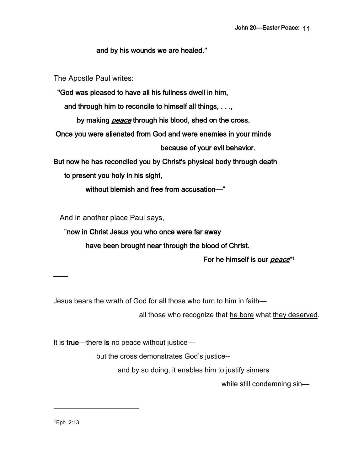and by his wounds we are healed."

The Apostle Paul writes:

 "God was pleased to have all his fullness dwell in him, and through him to reconcile to himself all things, . . ., by making *peace* through his blood, shed on the cross. Once you were alienated from God and were enemies in your minds because of your evil behavior. But now he has reconciled you by Christ's physical body through death to present you holy in his sight, without blemish and free from accusation—"

And in another place Paul says,

"now in Christ Jesus you who once were far away have been brought near through the blood of Christ.

For he himself is our *peace*"<sup>1</sup>

Jesus bears the wrath of God for all those who turn to him in faith—

all those who recognize that he bore what they deserved.

It is true—there is no peace without justice—

but the cross demonstrates God's justice--

and by so doing, it enables him to justify sinners

while still condemning sin—

 $\overline{\phantom{a}}$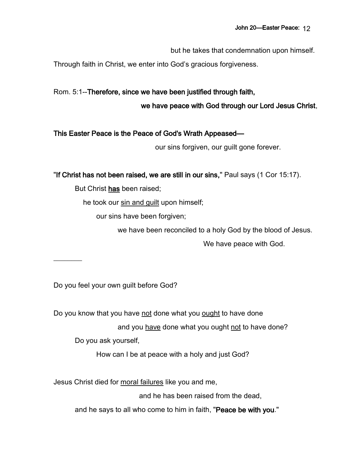but he takes that condemnation upon himself.

Through faith in Christ, we enter into God's gracious forgiveness.

## Rom. 5:1--Therefore, since we have been justified through faith,

we have peace with God through our Lord Jesus Christ,

### This Easter Peace is the Peace of God's Wrath Appeased—

our sins forgiven, our guilt gone forever.

"If Christ has not been raised, we are still in our sins," Paul says (1 Cor 15:17).

But Christ has been raised;

he took our sin and guilt upon himself;

our sins have been forgiven;

we have been reconciled to a holy God by the blood of Jesus.

We have peace with God.

Do you feel your own guilt before God?

 $\overline{\phantom{a}}$ 

Do you know that you have not done what you ought to have done

and you have done what you ought not to have done?

Do you ask yourself,

How can I be at peace with a holy and just God?

Jesus Christ died for moral failures like you and me,

and he has been raised from the dead,

and he says to all who come to him in faith, "Peace be with you."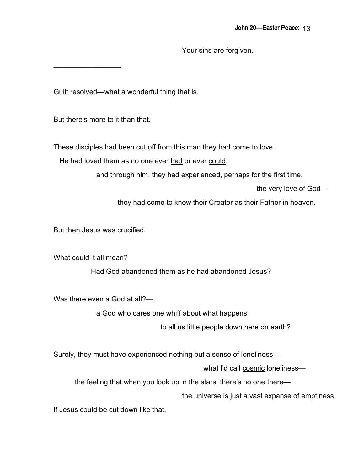Your sins are forgiven.

Guilt resolved—what a wonderful thing that is.

But there's more to it than that.

 $\overline{\phantom{a}}$  , where  $\overline{\phantom{a}}$ 

These disciples had been cut off from this man they had come to love.

He had loved them as no one ever had or ever could,

and through him, they had experienced, perhaps for the first time,

the very love of God—

they had come to know their Creator as their Father in heaven.

But then Jesus was crucified.

What could it all mean?

Had God abandoned them as he had abandoned Jesus?

Was there even a God at all?-

a God who cares one whiff about what happens

to all us little people down here on earth?

Surely, they must have experienced nothing but a sense of loneliness—

what I'd call cosmic loneliness—

the feeling that when you look up in the stars, there's no one there—

the universe is just a vast expanse of emptiness.

If Jesus could be cut down like that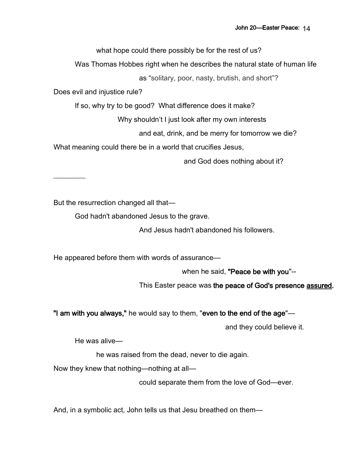what hope could there possibly be for the rest of us?

Was Thomas Hobbes right when he describes the natural state of human life

as "solitary, poor, nasty, brutish, and short"?

Does evil and injustice rule?

 $\frac{1}{2}$ 

If so, why try to be good? What difference does it make?

Why shouldn't I just look after my own interests

and eat, drink, and be merry for tomorrow we die?

What meaning could there be in a world that crucifies Jesus,

and God does nothing about it?

But the resurrection changed all that—

God hadn't abandoned Jesus to the grave.

And Jesus hadn't abandoned his followers.

He appeared before them with words of assurance—

when he said, "Peace be with you"--

This Easter peace was the peace of God's presence assured.

"I am with you always," he would say to them, "even to the end of the age"—

and they could believe it.

He was alive—

he was raised from the dead, never to die again.

Now they knew that nothing—nothing at all—

could separate them from the love of God—ever.

And, in a symbolic act, John tells us that Jesu breathed on them—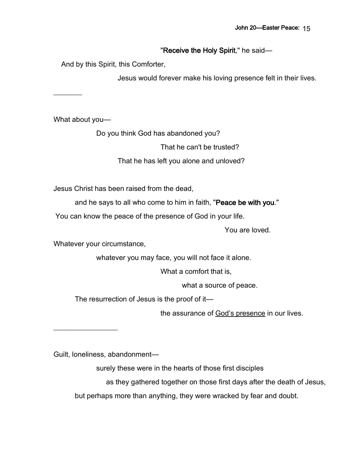## "Receive the Holy Spirit," he said—

And by this Spirit, this Comforter,

Jesus would forever make his loving presence felt in their lives.

What about you—

 $\overline{\phantom{a}}$ 

Do you think God has abandoned you?

That he can't be trusted?

That he has left you alone and unloved?

Jesus Christ has been raised from the dead,

and he says to all who come to him in faith, "Peace be with you."

You can know the peace of the presence of God in your life.

You are loved.

Whatever your circumstance,

whatever you may face, you will not face it alone.

What a comfort that is,

what a source of peace.

The resurrection of Jesus is the proof of it—

the assurance of God's presence in our lives.

Guilt, loneliness, abandonment—

 $\_$ 

surely these were in the hearts of those first disciples

as they gathered together on those first days after the death of Jesus,

but perhaps more than anything, they were wracked by fear and doubt.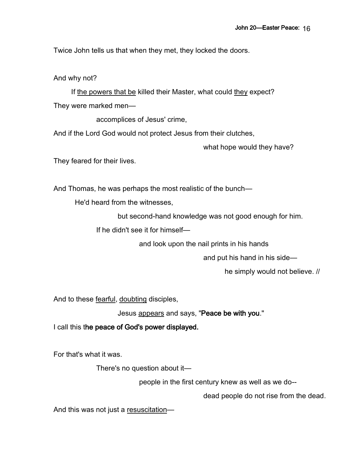Twice John tells us that when they met, they locked the doors.

And why not?

 If the powers that be killed their Master, what could they expect? They were marked men—

accomplices of Jesus' crime,

And if the Lord God would not protect Jesus from their clutches,

what hope would they have?

They feared for their lives.

And Thomas, he was perhaps the most realistic of the bunch—

He'd heard from the witnesses,

but second-hand knowledge was not good enough for him.

If he didn't see it for himself—

and look upon the nail prints in his hands

and put his hand in his side—

he simply would not believe. //

And to these fearful, doubting disciples,

Jesus appears and says, "Peace be with you."

I call this the peace of God's power displayed.

For that's what it was.

There's no question about it—

people in the first century knew as well as we do--

dead people do not rise from the dead.

And this was not just a resuscitation—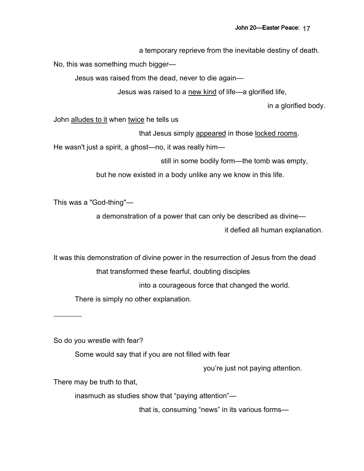a temporary reprieve from the inevitable destiny of death.

No, this was something much bigger—

Jesus was raised from the dead, never to die again—

Jesus was raised to a new kind of life—a glorified life,

in a glorified body.

John alludes to it when twice he tells us

that Jesus simply appeared in those locked rooms.

He wasn't just a spirit, a ghost—no, it was really him—

still in some bodily form—the tomb was empty,

but he now existed in a body unlike any we know in this life.

This was a "God-thing"—

a demonstration of a power that can only be described as divine—

it defied all human explanation.

It was this demonstration of divine power in the resurrection of Jesus from the dead that transformed these fearful, doubting disciples

into a courageous force that changed the world.

There is simply no other explanation.

So do you wrestle with fear?

 $\overline{\phantom{a}}$ 

Some would say that if you are not filled with fear

you're just not paying attention.

There may be truth to that,

inasmuch as studies show that "paying attention"—

that is, consuming "news" in its various forms—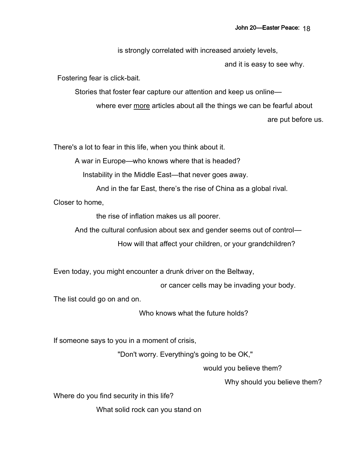is strongly correlated with increased anxiety levels,

and it is easy to see why.

Fostering fear is click-bait.

Stories that foster fear capture our attention and keep us online—

where ever more articles about all the things we can be fearful about

are put before us.

There's a lot to fear in this life, when you think about it.

A war in Europe—who knows where that is headed?

Instability in the Middle East—that never goes away.

And in the far East, there's the rise of China as a global rival.

Closer to home,

the rise of inflation makes us all poorer.

And the cultural confusion about sex and gender seems out of control—

How will that affect your children, or your grandchildren?

Even today, you might encounter a drunk driver on the Beltway,

or cancer cells may be invading your body.

The list could go on and on.

Who knows what the future holds?

If someone says to you in a moment of crisis,

"Don't worry. Everything's going to be OK,"

would you believe them?

Why should you believe them?

Where do you find security in this life?

What solid rock can you stand on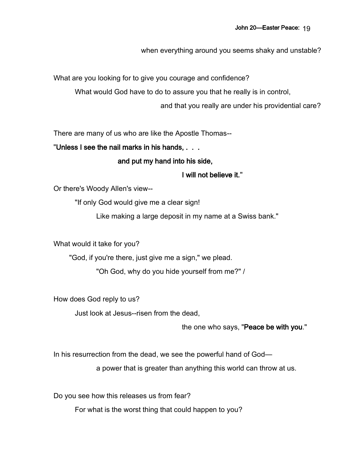when everything around you seems shaky and unstable?

What are you looking for to give you courage and confidence?

What would God have to do to assure you that he really is in control,

and that you really are under his providential care?

There are many of us who are like the Apostle Thomas--

"Unless I see the nail marks in his hands, . . .

and put my hand into his side,

#### I will not believe it."

Or there's Woody Allen's view--

"If only God would give me a clear sign!

Like making a large deposit in my name at a Swiss bank."

What would it take for you?

"God, if you're there, just give me a sign," we plead.

"Oh God, why do you hide yourself from me?" /

How does God reply to us?

Just look at Jesus--risen from the dead,

the one who says, "Peace be with you."

In his resurrection from the dead, we see the powerful hand of God—

a power that is greater than anything this world can throw at us.

Do you see how this releases us from fear?

For what is the worst thing that could happen to you?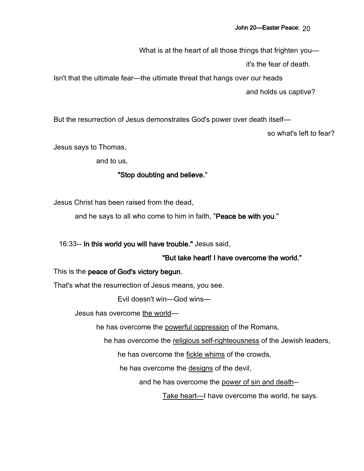What is at the heart of all those things that frighten you-

it's the fear of death.

Isn't that the ultimate fear—the ultimate threat that hangs over our heads

and holds us captive?

But the resurrection of Jesus demonstrates God's power over death itself—

so what's left to fear?

Jesus says to Thomas,

and to us,

#### "Stop doubting and believe,"

Jesus Christ has been raised from the dead,

and he says to all who come to him in faith, "Peace be with you."

16:33-- In this world you will have trouble." Jesus said,

#### "But take heart! I have overcome the world."

This is the peace of God's victory begun.

That's what the resurrection of Jesus means, you see.

Evil doesn't win—God wins—

Jesus has overcome the world-

he has overcome the powerful oppression of the Romans,

he has overcome the religious self-righteousness of the Jewish leaders,

he has overcome the fickle whims of the crowds,

he has overcome the designs of the devil,

and he has overcome the power of sin and death--

Take heart—I have overcome the world, he says.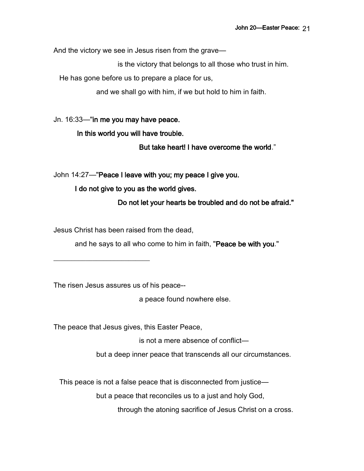And the victory we see in Jesus risen from the grave—

is the victory that belongs to all those who trust in him.

He has gone before us to prepare a place for us,

and we shall go with him, if we but hold to him in faith.

Jn. 16:33—"in me you may have peace.

In this world you will have trouble.

But take heart! I have overcome the world."

John 14:27—"Peace I leave with you; my peace I give you.

#### I do not give to you as the world gives.

Do not let your hearts be troubled and do not be afraid."

Jesus Christ has been raised from the dead,

and he says to all who come to him in faith, "Peace be with you."

The risen Jesus assures us of his peace--

\_\_\_\_\_\_\_\_\_\_\_\_\_\_\_\_\_\_\_\_\_\_\_\_\_\_\_

a peace found nowhere else.

The peace that Jesus gives, this Easter Peace,

is not a mere absence of conflict—

but a deep inner peace that transcends all our circumstances.

This peace is not a false peace that is disconnected from justice—

but a peace that reconciles us to a just and holy God,

through the atoning sacrifice of Jesus Christ on a cross.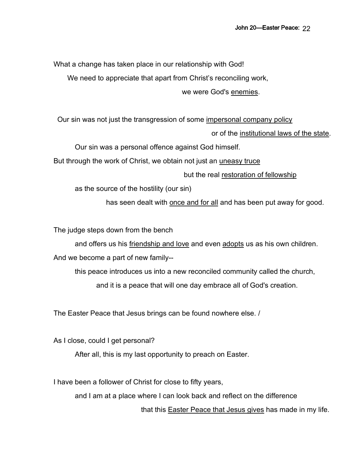What a change has taken place in our relationship with God!

We need to appreciate that apart from Christ's reconciling work,

we were God's enemies.

Our sin was not just the transgression of some impersonal company policy

or of the institutional laws of the state.

Our sin was a personal offence against God himself.

But through the work of Christ, we obtain not just an uneasy truce

but the real restoration of fellowship

as the source of the hostility (our sin)

has seen dealt with once and for all and has been put away for good.

The judge steps down from the bench

and offers us his friendship and love and even adopts us as his own children.

And we become a part of new family--

this peace introduces us into a new reconciled community called the church,

and it is a peace that will one day embrace all of God's creation.

The Easter Peace that Jesus brings can be found nowhere else. /

As I close, could I get personal?

After all, this is my last opportunity to preach on Easter.

I have been a follower of Christ for close to fifty years,

and I am at a place where I can look back and reflect on the difference

that this Easter Peace that Jesus gives has made in my life.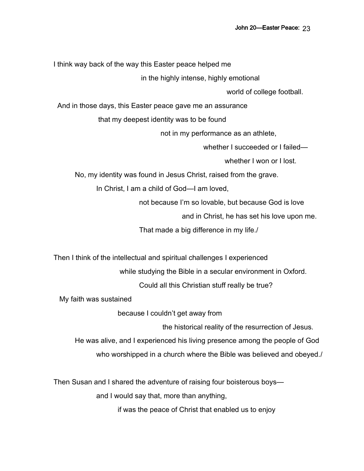I think way back of the way this Easter peace helped me

in the highly intense, highly emotional

world of college football.

And in those days, this Easter peace gave me an assurance

that my deepest identity was to be found

not in my performance as an athlete,

whether I succeeded or I failed—

whether I won or I lost.

No, my identity was found in Jesus Christ, raised from the grave.

In Christ, I am a child of God—I am loved,

not because I'm so lovable, but because God is love

and in Christ, he has set his love upon me.

That made a big difference in my life./

Then I think of the intellectual and spiritual challenges I experienced

while studying the Bible in a secular environment in Oxford.

Could all this Christian stuff really be true?

My faith was sustained

because I couldn't get away from

the historical reality of the resurrection of Jesus.

He was alive, and I experienced his living presence among the people of God

who worshipped in a church where the Bible was believed and obeyed./

Then Susan and I shared the adventure of raising four boisterous boys—

and I would say that, more than anything,

if was the peace of Christ that enabled us to enjoy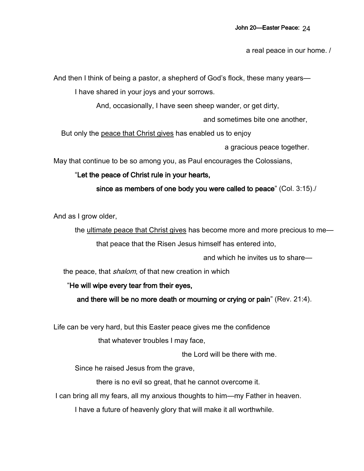a real peace in our home. /

And then I think of being a pastor, a shepherd of God's flock, these many years—

I have shared in your joys and your sorrows.

And, occasionally, I have seen sheep wander, or get dirty,

and sometimes bite one another,

But only the peace that Christ gives has enabled us to enjoy

a gracious peace together.

May that continue to be so among you, as Paul encourages the Colossians,

#### "Let the peace of Christ rule in your hearts,

since as members of one body you were called to peace" (Col. 3:15)./

And as I grow older,

the ultimate peace that Christ gives has become more and more precious to me—

that peace that the Risen Jesus himself has entered into,

and which he invites us to share—

the peace, that *shalom*, of that new creation in which

#### "He will wipe every tear from their eyes,

and there will be no more death or mourning or crying or pain" (Rev. 21:4).

Life can be very hard, but this Easter peace gives me the confidence

that whatever troubles I may face,

the Lord will be there with me.

Since he raised Jesus from the grave,

there is no evil so great, that he cannot overcome it.

I can bring all my fears, all my anxious thoughts to him—my Father in heaven.

I have a future of heavenly glory that will make it all worthwhile.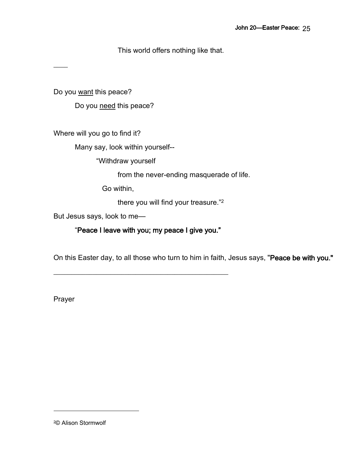This world offers nothing like that.

Do you want this peace?

 $\overline{\phantom{a}}$ 

Do you need this peace?

Where will you go to find it?

Many say, look within yourself--

"Withdraw yourself

from the never-ending masquerade of life.

Go within,

there you will find your treasure."<sup>2</sup>

But Jesus says, look to me—

## "Peace I leave with you; my peace I give you."

\_\_\_\_\_\_\_\_\_\_\_\_\_\_\_\_\_\_\_\_\_\_\_\_\_\_\_\_\_\_\_\_\_\_\_\_\_\_\_\_\_\_\_\_\_\_\_\_\_

On this Easter day, to all those who turn to him in faith, Jesus says, "Peace be with you."

Prayer

2© Alison Stormwolf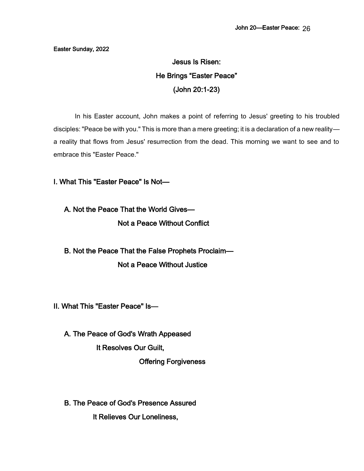#### Easter Sunday, 2022

# Jesus Is Risen: He Brings "Easter Peace" (John 20:1-23)

In his Easter account, John makes a point of referring to Jesus' greeting to his troubled disciples: "Peace be with you." This is more than a mere greeting; it is a declaration of a new reality a reality that flows from Jesus' resurrection from the dead. This morning we want to see and to embrace this "Easter Peace."

## I. What This "Easter Peace" Is Not—

A. Not the Peace That the World Gives— Not a Peace Without Conflict

B. Not the Peace That the False Prophets Proclaim— Not a Peace Without Justice

II. What This "Easter Peace" Is—

A. The Peace of God's Wrath Appeased It Resolves Our Guilt, Offering Forgiveness

B. The Peace of God's Presence Assured It Relieves Our Loneliness,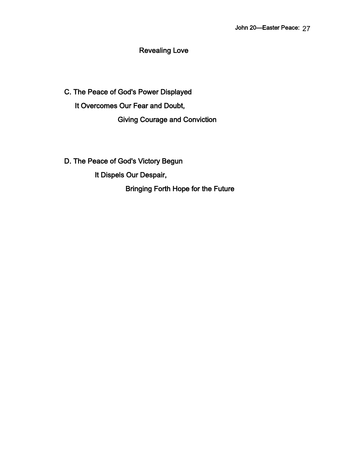## Revealing Love

C. The Peace of God's Power Displayed

It Overcomes Our Fear and Doubt,

Giving Courage and Conviction

D. The Peace of God's Victory Begun

It Dispels Our Despair,

Bringing Forth Hope for the Future